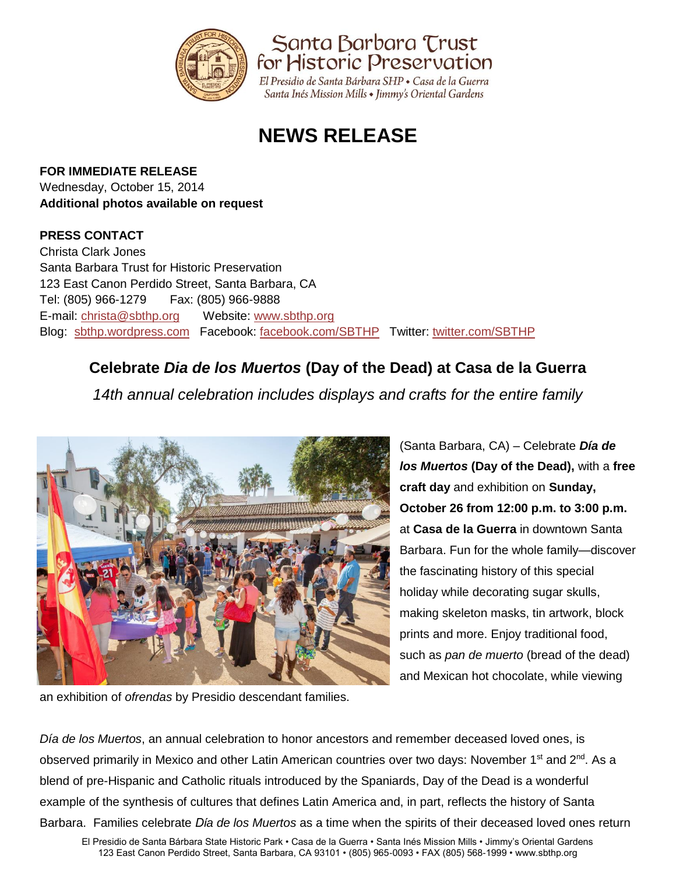

Santa Barbara Trust for Historic Preservation

El Presidio de Santa Bárbara SHP · Casa de la Guerra Santa Inés Mission Mills • Jimmy's Oriental Gardens

# **NEWS RELEASE**

#### **FOR IMMEDIATE RELEASE**

Wednesday, October 15, 2014 **Additional photos available on request** 

### **PRESS CONTACT**

Christa Clark Jones Santa Barbara Trust for Historic Preservation 123 East Canon Perdido Street, Santa Barbara, CA Tel: (805) 966-1279 Fax: (805) 966-9888 E-mail: [christa@sbthp.org](mailto:christa@sbthp.org) Website: [www.sbthp.org](http://www.sbthp.org/) Blog: [sbthp.wordpress.com](http://sbthp.wordpress.com/) Facebook: [facebook.com/SBTHP](http://www.facebook.com/SBTHP) Twitter: [twitter.com/SBTHP](http://twitter.com/SBTHP)

## **Celebrate** *Dia de los Muertos* **(Day of the Dead) at Casa de la Guerra**

*14th annual celebration includes displays and crafts for the entire family*



(Santa Barbara, CA) – Celebrate *Día de los Muertos* **(Day of the Dead),** with a **free craft day** and exhibition on **Sunday, October 26 from 12:00 p.m. to 3:00 p.m.** at **Casa de la Guerra** in downtown Santa Barbara. Fun for the whole family—discover the fascinating history of this special holiday while decorating sugar skulls, making skeleton masks, tin artwork, block prints and more. Enjoy traditional food, such as *pan de muerto* (bread of the dead) and Mexican hot chocolate, while viewing

an exhibition of *ofrendas* by Presidio descendant families.

*Día de los Muertos*, an annual celebration to honor ancestors and remember deceased loved ones, is observed primarily in Mexico and other Latin American countries over two days: November 1<sup>st</sup> and 2<sup>nd</sup>. As a blend of pre-Hispanic and Catholic rituals introduced by the Spaniards, Day of the Dead is a wonderful example of the synthesis of cultures that defines Latin America and, in part, reflects the history of Santa Barbara. Families celebrate *Dίa de los Muertos* as a time when the spirits of their deceased loved ones return